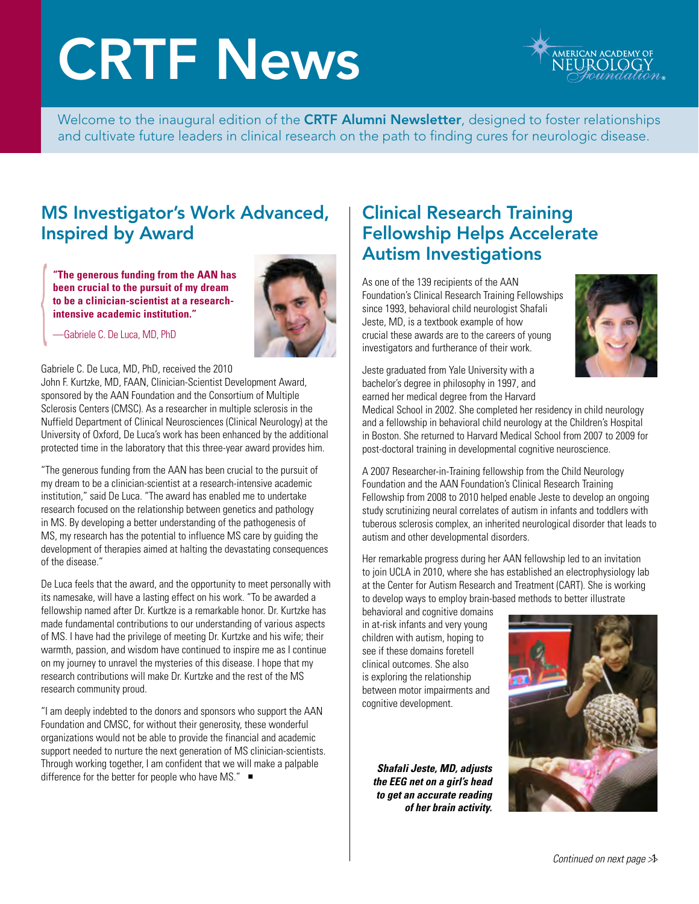# CRTF News



Welcome to the inaugural edition of the CRTF Alumni Newsletter, designed to foster relationships and cultivate future leaders in clinical research on the path to finding cures for neurologic disease.

#### MS Investigator's Work Advanced, Inspired by Award

**"The generous funding from the AAN has been crucial to the pursuit of my dream to be a clinician-scientist at a researchintensive academic institution."**



—Gabriele C. De Luca, MD, PhD

#### Gabriele C. De Luca, MD, PhD, received the 2010

John F. Kurtzke, MD, FAAN, Clinician-Scientist Development Award, sponsored by the AAN Foundation and the Consortium of Multiple Sclerosis Centers (CMSC). As a researcher in multiple sclerosis in the Nuffield Department of Clinical Neurosciences (Clinical Neurology) at the University of Oxford, De Luca's work has been enhanced by the additional protected time in the laboratory that this three-year award provides him.

"The generous funding from the AAN has been crucial to the pursuit of my dream to be a clinician-scientist at a research-intensive academic institution," said De Luca. "The award has enabled me to undertake research focused on the relationship between genetics and pathology in MS. By developing a better understanding of the pathogenesis of MS, my research has the potential to influence MS care by guiding the development of therapies aimed at halting the devastating consequences of the disease."

De Luca feels that the award, and the opportunity to meet personally with its namesake, will have a lasting effect on his work. "To be awarded a fellowship named after Dr. Kurtkze is a remarkable honor. Dr. Kurtzke has made fundamental contributions to our understanding of various aspects of MS. I have had the privilege of meeting Dr. Kurtzke and his wife; their warmth, passion, and wisdom have continued to inspire me as I continue on my journey to unravel the mysteries of this disease. I hope that my research contributions will make Dr. Kurtzke and the rest of the MS research community proud.

"I am deeply indebted to the donors and sponsors who support the AAN Foundation and CMSC, for without their generosity, these wonderful organizations would not be able to provide the financial and academic support needed to nurture the next generation of MS clinician-scientists. Through working together, I am confident that we will make a palpable difference for the better for people who have MS."  $\blacksquare$ 

### Clinical Research Training Fellowship Helps Accelerate Autism Investigations

As one of the 139 recipients of the AAN Foundation's Clinical Research Training Fellowships since 1993, behavioral child neurologist Shafali Jeste, MD, is a textbook example of how crucial these awards are to the careers of young investigators and furtherance of their work.



Jeste graduated from Yale University with a bachelor's degree in philosophy in 1997, and earned her medical degree from the Harvard

Medical School in 2002. She completed her residency in child neurology and a fellowship in behavioral child neurology at the Children's Hospital in Boston. She returned to Harvard Medical School from 2007 to 2009 for post-doctoral training in developmental cognitive neuroscience.

A 2007 Researcher-in-Training fellowship from the Child Neurology Foundation and the AAN Foundation's Clinical Research Training Fellowship from 2008 to 2010 helped enable Jeste to develop an ongoing study scrutinizing neural correlates of autism in infants and toddlers with tuberous sclerosis complex, an inherited neurological disorder that leads to autism and other developmental disorders.

Her remarkable progress during her AAN fellowship led to an invitation to join UCLA in 2010, where she has established an electrophysiology lab at the Center for Autism Research and Treatment (CART). She is working to develop ways to employ brain-based methods to better illustrate

behavioral and cognitive domains in at-risk infants and very young children with autism, hoping to see if these domains foretell clinical outcomes. She also is exploring the relationship between motor impairments and cognitive development.

*Shafali Jeste, MD, adjusts the EEG net on a girl's head to get an accurate reading of her brain activity.*